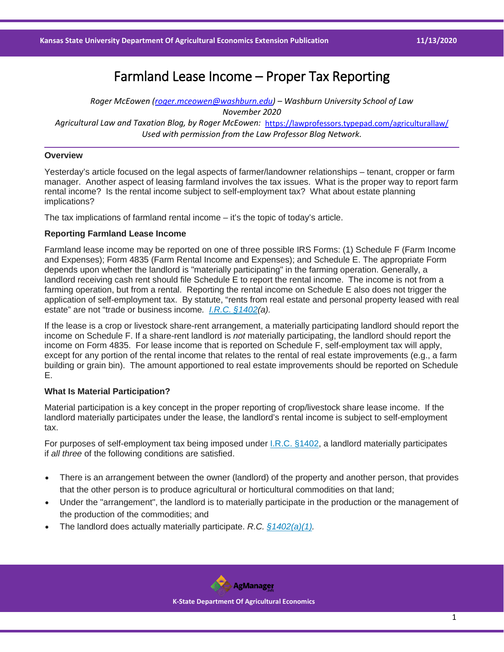# Farmland Lease Income – Proper Tax Reporting

*Roger McEowen [\(roger.mceowen@washburn.edu\)](mailto:roger.mceowen@washburn.edu) – Washburn University School of Law November 2020 Agricultural Law and Taxation Blog, by Roger McEowen:* <https://lawprofessors.typepad.com/agriculturallaw/>

*Used with permission from the Law Professor Blog Network.* 

## **Overview**

Yesterday's article focused on the legal aspects of farmer/landowner relationships – tenant, cropper or farm manager. Another aspect of leasing farmland involves the tax issues. What is the proper way to report farm rental income? Is the rental income subject to self-employment tax? What about estate planning implications?

The tax implications of farmland rental income – it's the topic of today's article.

#### **Reporting Farmland Lease Income**

Farmland lease income may be reported on one of three possible IRS Forms: (1) Schedule F (Farm Income and Expenses); Form 4835 (Farm Rental Income and Expenses); and Schedule E. The appropriate Form depends upon whether the landlord is "materially participating" in the farming operation. Generally, a landlord receiving cash rent should file Schedule E to report the rental income. The income is not from a farming operation, but from a rental. Reporting the rental income on Schedule E also does not trigger the application of self-employment tax. By statute, "rents from real estate and personal property leased with real estate" are not "trade or business income*. [I.R.C. §1402\(](https://casetext.com/statute/united-states-code/title-26-internal-revenue-code/subtitle-a-income-taxes/chapter-2-tax-on-self-employment-income/section-1402-definitions?ref=ArRBZs!2EHlsc)a).*

If the lease is a crop or livestock share-rent arrangement, a materially participating landlord should report the income on Schedule F. If a share-rent landlord is *not* materially participating, the landlord should report the income on Form 4835. For lease income that is reported on Schedule F, self-employment tax will apply, except for any portion of the rental income that relates to the rental of real estate improvements (e.g., a farm building or grain bin). The amount apportioned to real estate improvements should be reported on Schedule E.

### **What Is Material Participation?**

Material participation is a key concept in the proper reporting of crop/livestock share lease income. If the landlord materially participates under the lease, the landlord's rental income is subject to self-employment tax.

For purposes of self-employment tax being imposed under [I.R.C. §1402,](https://casetext.com/statute/united-states-code/title-26-internal-revenue-code/subtitle-a-income-taxes/chapter-2-tax-on-self-employment-income/section-1402-definitions?ref=ArRBZs!2EHlsc) a landlord materially participates if *all three* of the following conditions are satisfied.

- There is an arrangement between the owner (landlord) of the property and another person, that provides that the other person is to produce agricultural or horticultural commodities on that land;
- Under the "arrangement", the landlord is to materially participate in the production or the management of the production of the commodities; and
- The landlord does actually materially participate. *R.C. [§1402\(a\)\(1\).](https://casetext.com/statute/united-states-code/title-26-internal-revenue-code/subtitle-a-income-taxes/chapter-2-tax-on-self-employment-income/section-1402-definitions?ref=ArRBZs!2EHlsc)*

**AgManager** 

 **K-State Department Of Agricultural Economics**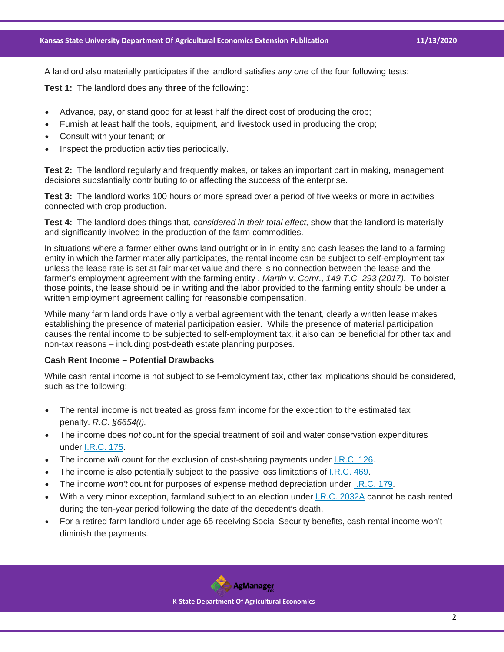A landlord also materially participates if the landlord satisfies *any one* of the four following tests:

**Test 1:** The landlord does any **three** of the following:

- Advance, pay, or stand good for at least half the direct cost of producing the crop;
- Furnish at least half the tools, equipment, and livestock used in producing the crop;
- Consult with your tenant; or
- Inspect the production activities periodically.

**Test 2:** The landlord regularly and frequently makes, or takes an important part in making, management decisions substantially contributing to or affecting the success of the enterprise.

**Test 3:** The landlord works 100 hours or more spread over a period of five weeks or more in activities connected with crop production.

**Test 4:** The landlord does things that, *considered in their total effect,* show that the landlord is materially and significantly involved in the production of the farm commodities.

In situations where a farmer either owns land outright or in in entity and cash leases the land to a farming entity in which the farmer materially participates, the rental income can be subject to self-employment tax unless the lease rate is set at fair market value and there is no connection between the lease and the farmer's employment agreement with the farming entity . *Martin v. Comr., 149 T.C. 293 (2017).* To bolster those points, the lease should be in writing and the labor provided to the farming entity should be under a written employment agreement calling for reasonable compensation.

While many farm landlords have only a verbal agreement with the tenant, clearly a written lease makes establishing the presence of material participation easier. While the presence of material participation causes the rental income to be subjected to self-employment tax, it also can be beneficial for other tax and non-tax reasons – including post-death estate planning purposes.

### **Cash Rent Income – Potential Drawbacks**

While cash rental income is not subject to self-employment tax, other tax implications should be considered, such as the following:

- The rental income is not treated as gross farm income for the exception to the estimated tax penalty. *R.C. §6654(i).*
- The income does *not* count for the special treatment of soil and water conservation expenditures under [I.R.C. 175.](https://casetext.com/statute/united-states-code/title-26-internal-revenue-code/subtitle-a-income-taxes/chapter-1-normal-taxes-and-surtaxes/subchapter-b-computation-of-taxable-income/part-vi-itemized-deductions-for-individuals-and-corporations/section-175-soil-and-water-conservation-expenditures-endangered-species-recovery-expenditures?ref=ArRBZs!KbbwiW)
- The income *will* count for the exclusion of cost-sharing payments under [I.R.C. 126.](https://casetext.com/statute/united-states-code/title-26-internal-revenue-code/subtitle-a-income-taxes/chapter-1-normal-taxes-and-surtaxes/subchapter-b-computation-of-taxable-income/part-iii-items-specifically-excluded-from-gross-income/section-126-certain-cost-sharing-payments?ref=ArRBZs!cduNMh)
- The income is also potentially subject to the passive loss limitations of [I.R.C. 469.](https://casetext.com/statute/united-states-code/title-26-internal-revenue-code/subtitle-a-income-taxes/chapter-1-normal-taxes-and-surtaxes/subchapter-e-accounting-periods-and-methods-of-accounting/part-ii-methods-of-accounting/subpart-c-taxable-year-for-which-deductions-taken/section-469-passive-activity-losses-and-credits-limited?ref=ArRBZs!6U1o3U)
- The income *won't* count for purposes of expense method depreciation under [I.R.C. 179.](https://casetext.com/statute/united-states-code/title-26-internal-revenue-code/subtitle-a-income-taxes/chapter-1-normal-taxes-and-surtaxes/subchapter-b-computation-of-taxable-income/part-vi-itemized-deductions-for-individuals-and-corporations/section-179-election-to-expense-certain-depreciable-business-assets?ref=ArRBZs!zF1Jb3)
- With a very minor exception, farmland subject to an election under [I.R.C. 2032A](https://casetext.com/statute/united-states-code/title-26-internal-revenue-code/subtitle-b-estate-and-gift-taxes/chapter-11-estate-tax/subchapter-a-estates-of-citizens-or-residents/part-iii-gross-estate/section-2032a-valuation-of-certain-farm-etc-real-property?ref=ArRBZs!9T_8Qv) cannot be cash rented during the ten-year period following the date of the decedent's death.
- For a retired farm landlord under age 65 receiving Social Security benefits, cash rental income won't diminish the payments.

**AgManager** 

 **K-State Department Of Agricultural Economics**